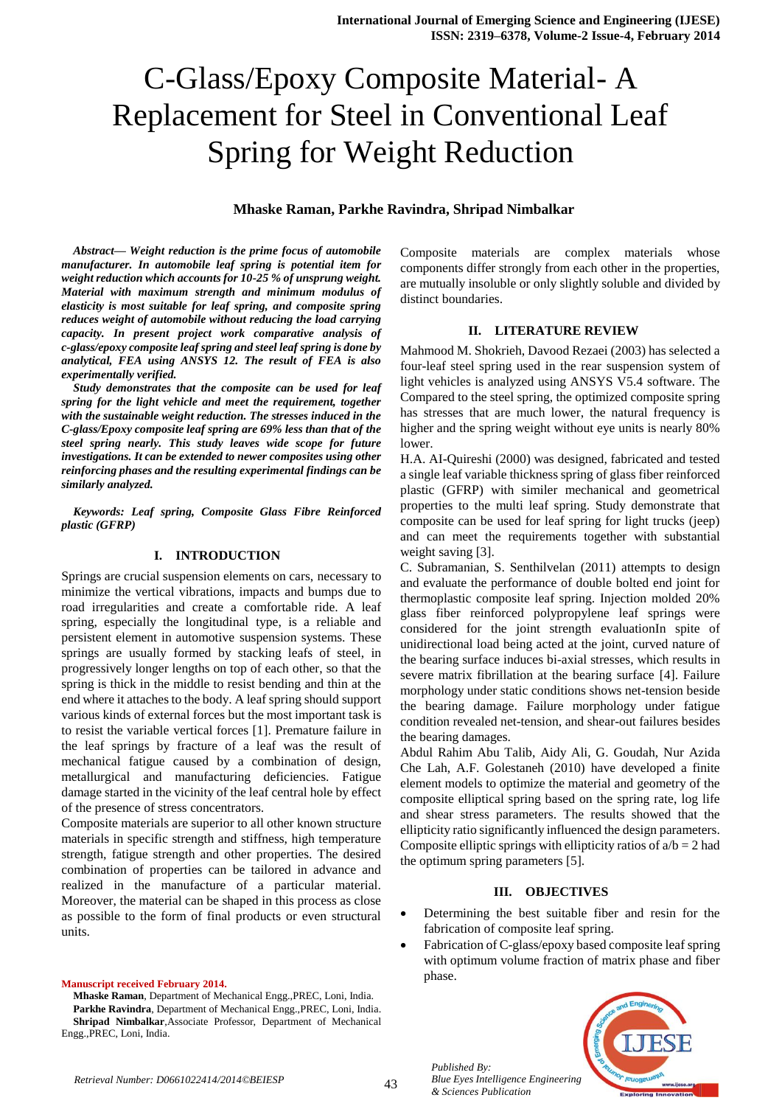# C-Glass/Epoxy Composite Material- A Replacement for Steel in Conventional Leaf Spring for Weight Reduction

#### **Mhaske Raman, Parkhe Ravindra, Shripad Nimbalkar**

*Abstract— Weight reduction is the prime focus of automobile manufacturer. In automobile leaf spring is potential item for weight reduction which accounts for 10-25 % of unsprung weight. Material with maximum strength and minimum modulus of elasticity is most suitable for leaf spring, and composite spring reduces weight of automobile without reducing the load carrying capacity. In present project work comparative analysis of c-glass/epoxy composite leaf spring and steel leaf spring is done by analytical, FEA using ANSYS 12. The result of FEA is also experimentally verified.*

*Study demonstrates that the composite can be used for leaf spring for the light vehicle and meet the requirement, together with the sustainable weight reduction. The stresses induced in the C-glass/Epoxy composite leaf spring are 69% less than that of the steel spring nearly. This study leaves wide scope for future investigations. It can be extended to newer composites using other reinforcing phases and the resulting experimental findings can be similarly analyzed.* 

*Keywords: Leaf spring, Composite Glass Fibre Reinforced plastic (GFRP)*

#### **I. INTRODUCTION**

Springs are crucial suspension elements on cars, necessary to minimize the vertical vibrations, impacts and bumps due to road irregularities and create a comfortable ride. A leaf spring, especially the longitudinal type, is a reliable and persistent element in automotive suspension systems. These springs are usually formed by stacking leafs of steel, in progressively longer lengths on top of each other, so that the spring is thick in the middle to resist bending and thin at the end where it attaches to the body. A leaf spring should support various kinds of external forces but the most important task is to resist the variable vertical forces [1]. Premature failure in the leaf springs by fracture of a leaf was the result of mechanical fatigue caused by a combination of design, metallurgical and manufacturing deficiencies. Fatigue damage started in the vicinity of the leaf central hole by effect of the presence of stress concentrators.

Composite materials are superior to all other known structure materials in specific strength and stiffness, high temperature strength, fatigue strength and other properties. The desired combination of properties can be tailored in advance and realized in the manufacture of a particular material. Moreover, the material can be shaped in this process as close as possible to the form of final products or even structural units.

#### **Manuscript received February 2014.**

**Mhaske Raman**, Department of Mechanical Engg.,PREC, Loni, India. **Parkhe Ravindra**, Department of Mechanical Engg.,PREC, Loni, India. **Shripad Nimbalkar**,Associate Professor, Department of Mechanical Engg.,PREC, Loni, India.

Composite materials are complex materials whose components differ strongly from each other in the properties, are mutually insoluble or only slightly soluble and divided by distinct boundaries.

#### **II. LITERATURE REVIEW**

Mahmood M. Shokrieh, Davood Rezaei (2003) has selected a four-leaf steel spring used in the rear suspension system of light vehicles is analyzed using ANSYS V5.4 software. The Compared to the steel spring, the optimized composite spring has stresses that are much lower, the natural frequency is higher and the spring weight without eye units is nearly 80% lower.

H.A. AI-Quireshi (2000) was designed, fabricated and tested a single leaf variable thickness spring of glass fiber reinforced plastic (GFRP) with similer mechanical and geometrical properties to the multi leaf spring. Study demonstrate that composite can be used for leaf spring for light trucks (jeep) and can meet the requirements together with substantial weight saving [3].

C. Subramanian, S. Senthilvelan (2011) attempts to design and evaluate the performance of double bolted end joint for thermoplastic composite leaf spring. Injection molded 20% glass fiber reinforced polypropylene leaf springs were considered for the joint strength evaluationIn spite of unidirectional load being acted at the joint, curved nature of the bearing surface induces bi-axial stresses, which results in severe matrix fibrillation at the bearing surface [4]. Failure morphology under static conditions shows net-tension beside the bearing damage. Failure morphology under fatigue condition revealed net-tension, and shear-out failures besides the bearing damages.

Abdul Rahim Abu Talib, Aidy Ali, G. Goudah, Nur Azida Che Lah, A.F. Golestaneh (2010) have developed a finite element models to optimize the material and geometry of the composite elliptical spring based on the spring rate, log life and shear stress parameters. The results showed that the ellipticity ratio significantly influenced the design parameters. Composite elliptic springs with ellipticity ratios of  $a/b = 2$  had the optimum spring parameters [5].

#### **III. OBJECTIVES**

- Determining the best suitable fiber and resin for the fabrication of composite leaf spring.
- Fabrication of C-glass/epoxy based composite leaf spring with optimum volume fraction of matrix phase and fiber phase.



*Published By:*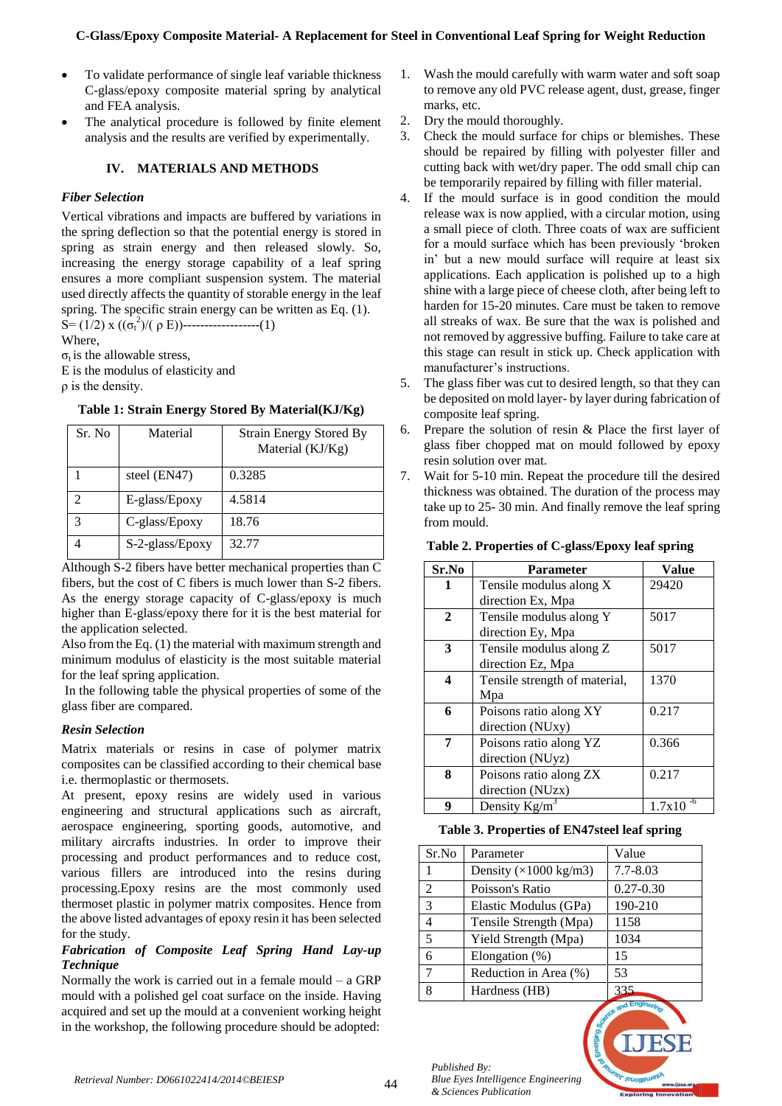- To validate performance of single leaf variable thickness C-glass/epoxy composite material spring by analytical and FEA analysis.
- The analytical procedure is followed by finite element analysis and the results are verified by experimentally.

## **IV. MATERIALS AND METHODS**

## *Fiber Selection*

Vertical vibrations and impacts are buffered by variations in the spring deflection so that the potential energy is stored in spring as strain energy and then released slowly. So, increasing the energy storage capability of a leaf spring ensures a more compliant suspension system. The material used directly affects the quantity of storable energy in the leaf spring. The specific strain energy can be written as Eq. (1). S= (1/2) x (( $\sigma_t^2$ )/( $\rho$  E))-------------------(1)

Where,

 $\sigma_t$  is the allowable stress.

E is the modulus of elasticity and

ρ is the density.

## **Table 1: Strain Energy Stored By Material(KJ/Kg)**

| Sr. No | Material        | <b>Strain Energy Stored By</b><br>Material (KJ/Kg) |
|--------|-----------------|----------------------------------------------------|
|        | steel (EN47)    | 0.3285                                             |
| っ      | E-glass/Epoxy   | 4.5814                                             |
| 3      | C-glass/Epoxy   | 18.76                                              |
|        | S-2-glass/Epoxy | 32.77                                              |

Although S-2 fibers have better mechanical properties than C fibers, but the cost of C fibers is much lower than S-2 fibers. As the energy storage capacity of C-glass/epoxy is much higher than E-glass/epoxy there for it is the best material for the application selected.

Also from the Eq. (1) the material with maximum strength and minimum modulus of elasticity is the most suitable material for the leaf spring application.

In the following table the physical properties of some of the glass fiber are compared.

# *Resin Selection*

Matrix materials or resins in case of polymer matrix composites can be classified according to their chemical base i.e. thermoplastic or thermosets.

At present, epoxy resins are widely used in various engineering and structural applications such as aircraft, aerospace engineering, sporting goods, automotive, and military aircrafts industries. In order to improve their processing and product performances and to reduce cost, various fillers are introduced into the resins during processing.Epoxy resins are the most commonly used thermoset plastic in polymer matrix composites. Hence from the above listed advantages of epoxy resin it has been selected for the study.

## *Fabrication of Composite Leaf Spring Hand Lay-up Technique*

Normally the work is carried out in a female mould  $-$  a GRP mould with a polished gel coat surface on the inside. Having acquired and set up the mould at a convenient working height in the workshop, the following procedure should be adopted:

- 1. Wash the mould carefully with warm water and soft soap to remove any old PVC release agent, dust, grease, finger marks, etc.
- 2. Dry the mould thoroughly.
- 3. Check the mould surface for chips or blemishes. These should be repaired by filling with polyester filler and cutting back with wet/dry paper. The odd small chip can be temporarily repaired by filling with filler material.
- 4. If the mould surface is in good condition the mould release wax is now applied, with a circular motion, using a small piece of cloth. Three coats of wax are sufficient for a mould surface which has been previously 'broken in' but a new mould surface will require at least six applications. Each application is polished up to a high shine with a large piece of cheese cloth, after being left to harden for 15-20 minutes. Care must be taken to remove all streaks of wax. Be sure that the wax is polished and not removed by aggressive buffing. Failure to take care at this stage can result in stick up. Check application with manufacturer's instructions.
- 5. The glass fiber was cut to desired length, so that they can be deposited on mold layer- by layer during fabrication of composite leaf spring.
- 6. Prepare the solution of resin & Place the first layer of glass fiber chopped mat on mould followed by epoxy resin solution over mat.
- 7. Wait for 5-10 min. Repeat the procedure till the desired thickness was obtained. The duration of the process may take up to 25- 30 min. And finally remove the leaf spring from mould.

| Sr.No            | <b>Parameter</b>              | Value  |
|------------------|-------------------------------|--------|
| 1                | Tensile modulus along X       | 29420  |
|                  | direction Ex, Mpa             |        |
| $\mathbf{2}$     | Tensile modulus along Y       | 5017   |
|                  | direction Ey, Mpa             |        |
| 3                | Tensile modulus along Z       | 5017   |
|                  | direction Ez, Mpa             |        |
| $\boldsymbol{4}$ | Tensile strength of material, | 1370   |
|                  | Mpa                           |        |
| 6                | Poisons ratio along XY        | 0.217  |
|                  | direction (NUxy)              |        |
| 7                | Poisons ratio along YZ        | 0.366  |
|                  | direction (NUyz)              |        |
| 8                | Poisons ratio along ZX        | 0.217  |
|                  | direction (NUzx)              |        |
| q                | Density $Kg/m^3$              | 1.7x10 |

## **Table 2. Properties of C-glass/Epoxy leaf spring**

#### **Table 3. Properties of EN47steel leaf spring**

| Sr.No | Parameter                             | Value         |
|-------|---------------------------------------|---------------|
|       | Density $(\times 1000 \text{ kg/m3})$ | $7.7 - 8.03$  |
| 2     | Poisson's Ratio                       | $0.27 - 0.30$ |
| 3     | Elastic Modulus (GPa)                 | 190-210       |
| 4     | Tensile Strength (Mpa)                | 1158          |
| 5     | Yield Strength (Mpa)                  | 1034          |
| 6     | Elongation $(\%)$                     | 15            |
|       | Reduction in Area (%)                 | 53            |
| 8     | Hardness (HB)                         | 335           |
|       |                                       | Ad Engines.   |

*Published By: Blue Eyes Intelligence Engineering & Sciences Publication*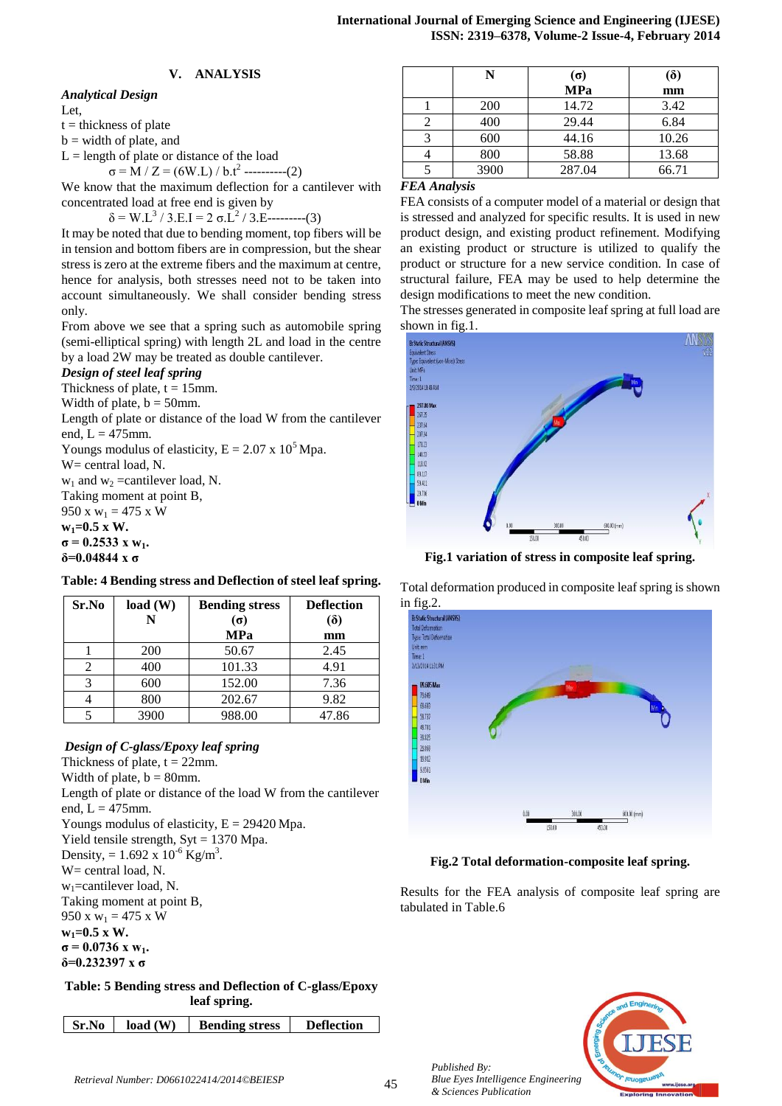## **V. ANALYSIS**

## *Analytical Design*

Let,

 $t =$  thickness of plate

 $b =$  width of plate, and

 $L =$  length of plate or distance of the load

 $\sigma = M / Z = (6W.L) / b.t^{2}$  ----------(2)

We know that the maximum deflection for a cantilever with concentrated load at free end is given by

 $δ = W.L<sup>3</sup>/3.E.I = 2 σ.L<sup>2</sup>/3.E-----(3)$ 

It may be noted that due to bending moment, top fibers will be in tension and bottom fibers are in compression, but the shear stress is zero at the extreme fibers and the maximum at centre, hence for analysis, both stresses need not to be taken into account simultaneously. We shall consider bending stress only.

From above we see that a spring such as automobile spring (semi-elliptical spring) with length 2L and load in the centre by a load 2W may be treated as double cantilever.

## *Design of steel leaf spring*

Thickness of plate,  $t = 15$ mm.

Width of plate,  $b = 50$ mm.

Length of plate or distance of the load W from the cantilever end,  $L = 475$ mm.

Youngs modulus of elasticity,  $E = 2.07 \times 10^5$  Mpa.

W= central load, N.

 $w_1$  and  $w_2$  =cantilever load, N.

Taking moment at point B,

950 x  $w_1 = 475$  x W **w1=0.5 x W.**

 $\sigma = 0.2533 \times w_1$ .

**δ=0.04844 x σ**

## **Table: 4 Bending stress and Deflection of steel leaf spring.**

| Sr.No | load(W)<br>N | <b>Bending stress</b><br>$(\sigma)$ | <b>Deflection</b><br>$\delta$ |
|-------|--------------|-------------------------------------|-------------------------------|
|       |              | <b>MPa</b>                          | mm                            |
|       | <b>200</b>   | 50.67                               | 2.45                          |
| 2     | 400          | 101.33                              | 4.91                          |
| 3     | 600          | 152.00                              | 7.36                          |
|       | 800          | 202.67                              | 9.82                          |
|       | 3900         | 988.00                              | 47.86                         |

## *Design of C-glass/Epoxy leaf spring*

Thickness of plate,  $t = 22$ mm. Width of plate,  $b = 80$ mm. Length of plate or distance of the load W from the cantilever end,  $L = 475$ mm. Youngs modulus of elasticity,  $E = 29420$  Mpa. Yield tensile strength,  $Syt = 1370$  Mpa. Density, =  $1.692 \times 10^{-6}$  Kg/m<sup>3</sup>. W= central load, N.  $w_1$ =cantilever load, N. Taking moment at point B, 950 x  $w_1 = 475$  x W **w1=0.5 x W.**  $\sigma = 0.0736$  **x w**<sub>1</sub>. **δ=0.232397 x σ**

**Table: 5 Bending stress and Deflection of C-glass/Epoxy leaf spring.**

| load(W)<br>  Sr.No<br><b>Bending stress</b> | <b>Deflection</b> |
|---------------------------------------------|-------------------|
|---------------------------------------------|-------------------|

| N    | $(\sigma)$ | $\delta$ |
|------|------------|----------|
|      | <b>MPa</b> | mm       |
| 200  | 14.72      | 3.42     |
| 400  | 29.44      | 6.84     |
| 600  | 44.16      | 10.26    |
| 800  | 58.88      | 13.68    |
| 3900 | 287.04     | 66.71    |
|      |            |          |

#### *FEA Analysis*

FEA consists of a computer model of a material or design that is stressed and analyzed for specific results. It is used in new product design, and existing product refinement. Modifying an existing product or structure is utilized to qualify the product or structure for a new service condition. In case of structural failure, FEA may be used to help determine the design modifications to meet the new condition.

The stresses generated in composite leaf spring at full load are shown in fig.1.



**Fig.1 variation of stress in composite leaf spring.**

Total deformation produced in composite leaf spring is shown in fig.2.



**Fig.2 Total deformation-composite leaf spring.**

Results for the FEA analysis of composite leaf spring are tabulated in Table.6



*Published By:*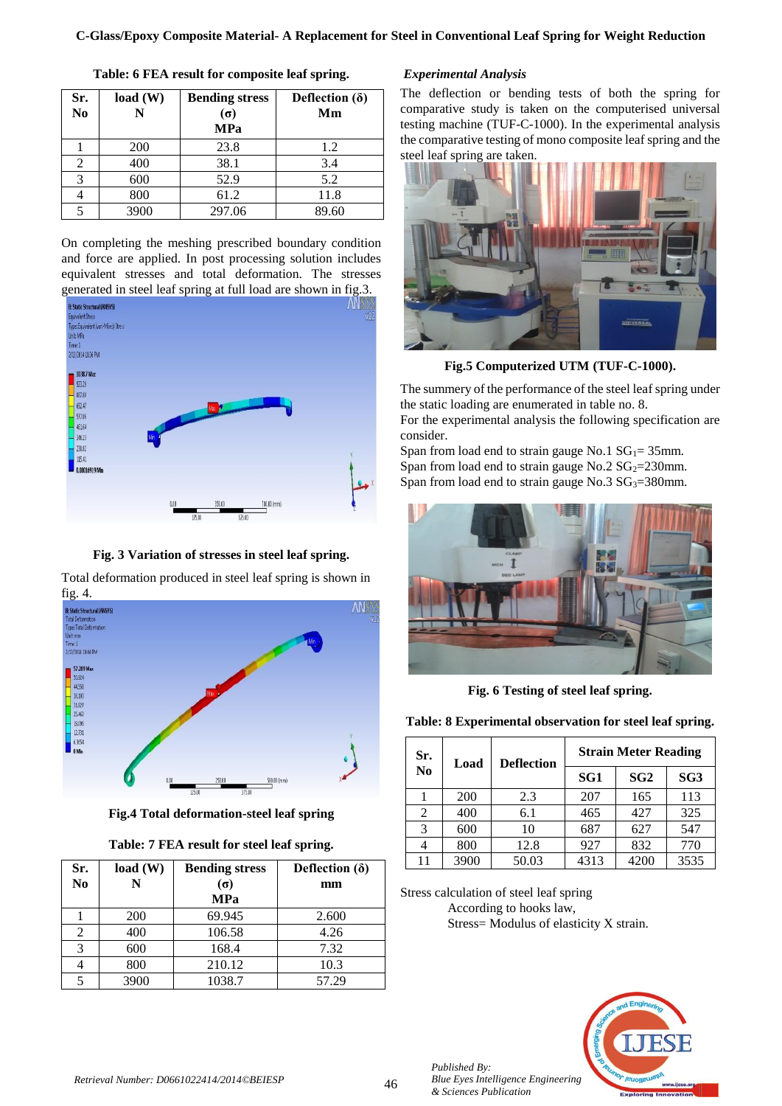| Sr.<br>N <sub>0</sub> | load(W)<br>N | <b>Bending stress</b><br>$(\sigma)$<br>MPa | Deflection $(\delta)$<br>Mm |
|-----------------------|--------------|--------------------------------------------|-----------------------------|
|                       | 200          | 23.8                                       | 1.2                         |
| 2                     | 400          | 38.1                                       | 3.4                         |
| 3                     | 600          | 52.9                                       | 5.2                         |
|                       | 800          | 61.2                                       | 11.8                        |
|                       | 3900         | 297.06                                     | 89.60                       |

**Table: 6 FEA result for composite leaf spring.**

On completing the meshing prescribed boundary condition and force are applied. In post processing solution includes equivalent stresses and total deformation. The stresses generated in steel leaf spring at full load are shown in fig.3.



**Fig. 3 Variation of stresses in steel leaf spring.**

Total deformation produced in steel leaf spring is shown in fig. 4.



**Fig.4 Total deformation-steel leaf spring**

| Sr.<br>No      | load(W)    | <b>Bending stress</b><br>$(\sigma)$ | Deflection $(\delta)$<br>mm |
|----------------|------------|-------------------------------------|-----------------------------|
|                |            | <b>MPa</b>                          |                             |
|                | <b>200</b> | 69.945                              | 2.600                       |
| $\mathfrak{D}$ | 400        | 106.58                              | 4.26                        |
| 3              | 600        | 168.4                               | 7.32                        |
|                | 800        | 210.12                              | 10.3                        |
|                | 3900       | 1038.7                              | 57.29                       |

## *Experimental Analysis*

The deflection or bending tests of both the spring for comparative study is taken on the computerised universal testing machine (TUF-C-1000). In the experimental analysis the comparative testing of mono composite leaf spring and the steel leaf spring are taken.



**Fig.5 Computerized UTM (TUF-C-1000).**

The summery of the performance of the steel leaf spring under the static loading are enumerated in table no. 8.

For the experimental analysis the following specification are consider.

Span from load end to strain gauge No.1  $SG_1 = 35$ mm. Span from load end to strain gauge No.2  $SG_2 = 230$ mm. Span from load end to strain gauge No.3  $SG_3 = 380$ mm.



**Fig. 6 Testing of steel leaf spring.**

**Table: 8 Experimental observation for steel leaf spring.**

| Sr. | Load           | <b>Deflection</b> | <b>Strain Meter Reading</b> |                 |      |
|-----|----------------|-------------------|-----------------------------|-----------------|------|
|     | N <sub>0</sub> |                   | SG1                         | SG <sub>2</sub> | SG3  |
|     | 200            | 2.3               | 207                         | 165             | 113  |
| 2   | 400            | 6.1               | 465                         | 427             | 325  |
| 3   | 600            | 10                | 687                         | 627             | 547  |
|     | 800            | 12.8              | 927                         | 832             | 770  |
| 11  | 3900           | 50.03             | 4313                        | 4200            | 3535 |

Stress calculation of steel leaf spring According to hooks law, Stress= Modulus of elasticity X strain.



*Published By:*